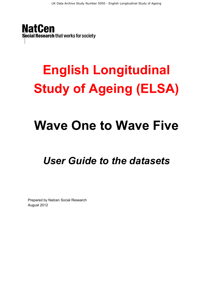**NatCen** Social Research that works for society

# **English Longitudinal Study of Ageing (ELSA)**

# **Wave One to Wave Five**

# *User Guide to the datasets*

Prepared by Natcen Social Research August 2012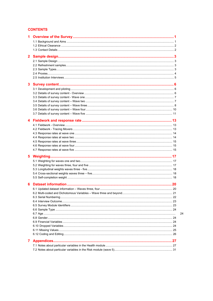#### **CONTENTS**

| $\mathbf{2}$   |  |
|----------------|--|
|                |  |
|                |  |
|                |  |
|                |  |
|                |  |
|                |  |
| 3              |  |
|                |  |
|                |  |
|                |  |
|                |  |
|                |  |
|                |  |
|                |  |
| 4              |  |
|                |  |
|                |  |
|                |  |
|                |  |
|                |  |
|                |  |
|                |  |
| 5              |  |
|                |  |
|                |  |
|                |  |
|                |  |
|                |  |
|                |  |
| 6              |  |
|                |  |
|                |  |
|                |  |
|                |  |
|                |  |
|                |  |
|                |  |
|                |  |
|                |  |
|                |  |
|                |  |
|                |  |
| $\overline{7}$ |  |
|                |  |
|                |  |
|                |  |

24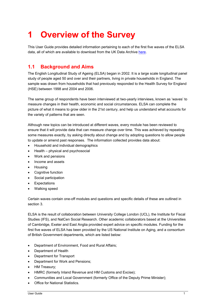# **1 Overview of the Survey**

This User Guide provides detailed information pertaining to each of the first five waves of the ELSA data, all of which are available to download from the UK Data Archive here.

### **1.1 Background and Aims**

The English Longitudinal Study of Ageing (ELSA) began in 2002. It is a large scale longitudinal panel study of people aged 50 and over and their partners, living in private households in England. The sample was drawn from households that had previously responded to the Health Survey for England (HSE) between 1998 and 2004 and 2006.

The same group of respondents have been interviewed at two-yearly interviews, known as 'waves' to measure changes in their health, economic and social circumstances. ELSA can complete the picture of what it means to grow older in the 21st century, and help us understand what accounts for the variety of patterns that are seen.

Although new topics can be introduced at different waves, every module has been reviewed to ensure that it will provide data that can measure change over time. This was achieved by repeating some measures exactly, by asking directly about change and by adopting questions to allow people to update or amend past responses. The information collected provides data about:

- Household and individual demographics
- Health physical and psychosocial
- Work and pensions
- Income and assets
- Housing
- Cognitive function
- Social participation
- **Expectations**
- Walking speed

Certain waves contain one-off modules and questions and specific details of these are outlined in section 3.

ELSA is the result of collaboration between University College London (UCL), the Institute for Fiscal Studies (IFS), and NatCen Social Research. Other academic collaborators based at the Universities of Cambridge, Exeter and East Anglia provided expert advice on specific modules. Funding for the first five waves of ELSA has been provided by the US National Institute on Aging, and a consortium of British Government departments, which are listed below:

- Department of Environment, Food and Rural Affairs:
- Department of Health
- Department for Transport
- Department for Work and Pensions;
- HM Treasury;
- HMRC (formerly Inland Revenue and HM Customs and Excise);
- Communities and Local Government (formerly Office of the Deputy Prime Minister);
- Office for National Statistics.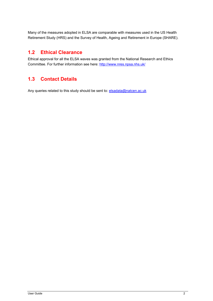Many of the measures adopted in ELSA are comparable with measures used in the US Health Retirement Study (HRS) and the Survey of Health, Ageing and Retirement in Europe (SHARE).

#### **1.2 Ethical Clearance**

Ethical approval for all the ELSA waves was granted from the National Research and Ethics Committee. For further information see here: http://www.nres.npsa.nhs.uk/

# **1.3 Contact Details**

Any queries related to this study should be sent to: elsadata@natcen.ac.uk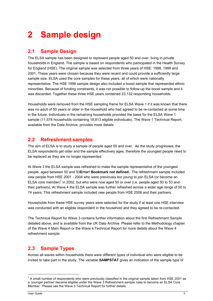# **2 Sample design**

#### **2.1 Sample Design**

The ELSA sample has been designed to represent people aged 50 and over, living in private households in England. The sample is based on respondents who participated in the Health Survey for England (HSE). The original sample was selected from three years of HSE: 1998, 1999 and 2001. These years were chosen because they were recent and could provide a sufficiently large sample size. ELSA used the core samples for these years, all of which were nationally representative. The HSE 1999 sample design also included a boost sample that represented ethnic minorities. Because of funding constraints, it was not possible to follow-up the boost sample and it was discarded. Together these three HSE years contained 23,132 responding households.

Households were removed from the HSE sampling frame for ELSA Wave 1 if it was known that there was no adult of 50 years or older in the household who had agreed to be re-contacted at some time in the future. Individuals in the remaining households provided the basis for the ELSA Wave 1 sample (11,578 households containing 18,813 eligible individuals). The Wave 1 Technical Report, available from the Data Archive, provides more details.

#### **2.2 Refreshment samples**

The aim of ELSA is to study a sample of people aged 50 and over. As the study progresses, the ELSA respondents get older and the sample effectively ages, therefore the youngest people need to be replaced as they are no longer represented.

At Wave 3 the ELSA sample was refreshed to make the sample representative of the youngest people, aged between 50 and 53**Error! Bookmark not defined.**. The refreshment sample included new people from HSE 2001 - 2004 who were previously too young to join ELSA (or become an ELSA core member)<sup>1</sup> in 2002, but who were now aged 50 or over (i.e. people aged 50 to 53 and their partners). At Wave 4 the ELSA sample was further refreshed across a wider age range of 50 to 74 years. This refreshment sample included new people from HSE 2006 and their partners.

Households from these HSE survey years were selected for the study if at least one HSE interview was conducted with an eligible respondent in the household and they agreed to be re-contacted.

The Technical Report for Wave 3 contains further information about the first Refreshment Sample detailed above, and is available from the UK Data Archive. Please refer to the Methodology chapter of the Wave 4 Main Report or the Wave 4 Technical Report for more details about the Wave 4 refreshment sample.

## **2.3 Sample Types**

Across all waves within households there were different types of individual who were eligible to be invited to take part in the study. The variable **SAMPSTAT** gives an indication of the sample type of

1

 $1$  A small number of respondents who were previously classified in the original sample taken from HSE 2001 as a 'younger partner' became eligible under the Wave 3 Refreshment sample rules to become an ELSA Core Member. Please see the Wave 3 Technical Report for further details.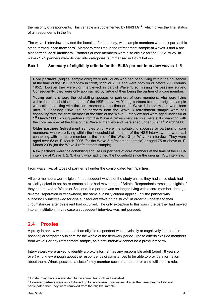the majority of respondents. This variable is supplemented by **FINSTAT<sup>2</sup>,** which gives the final status of all respondents in the file.

The wave 1 interview provided the baseline for the study, with sample members who took part at this stage termed '**core members**'. Members recruited in the refreshment sample at waves 3 and 4 are also termed '**core members**'. Partners of core members were also eligible for the ELSA study. In waves 1 - 5 partners were divided into categories (summarised in Box 1 below).

#### **Box 1 Summary of eligibility criteria for the ELSA partner interview waves 1- 5**

**Core partners** (original sample only) were individuals who had been living within the household at the time of the HSE interview in 1998, 1999 or 2001 and were born on or before 29 February 1952. However they were *not* interviewed as part of Wave 1, so missing the baseline survey. Consequently, they were only approached by virtue of their being the partner of a core member.

**Young partners** were the cohabiting spouses or partners of core members, who were living within the household at the time of the HSE interview. Young partners from the original sample were still cohabiting with the core member at the time of the Wave 1 interview and were born *after* 29 February 1952. Young partners from the Wave 3 refreshment sample were still cohabiting with the core member at the time of the Wave 3 interview and were aged under 50 at 1<sup>st</sup> March 2006. Young partners from the Wave 4 refreshment sample were still cohabiting with the core member at the time of the Wave 4 interview and were aged under 50 at 1<sup>st</sup> March 2008.

**Older partners** (refreshment samples only) were the cohabiting spouses or partners of core members, who were living within the household at the time of the HSE interview and were still cohabiting with the core member at the time of the Wave 3 (or Wave 4) interview. They were aged over 53 at 1<sup>st</sup> March 2006 (for the Wave 3 refreshment sample) or aged 75 or above at 1<sup>st</sup> March 2008 (for the Wave 4 refreshment sample).

**New partners** were the cohabiting spouses or partners of core members at the time of the ELSA interview at Wave 1, 2, 3, 4 or 5 who had joined the household since the original HSE interview.

From wave five, all types of partner fell under the consolidated term '**partner**'.

All core members were eligible for subsequent waves of the study unless they had since died, had explicitly asked to not be re-contacted, or had moved out of Britain. Respondents remained eligible if they had moved to Wales or Scotland. If a partner was no longer living with a core member, through divorce, separation or widowhood, the same eligibility criteria applied until the partner was successfully interviewed for **one** subsequent wave of the study<sup>3</sup>; in order to understand their circumstances after this event had occurred. The only exception to this was if the partner had moved into an institution. In this case a subsequent interview was **not** pursued.

#### **2.4 Proxies**

A proxy interview was pursued if an eligible respondent was physically or cognitively impaired; in hospital; or temporarily in care for the whole of the fieldwork period. These criteria exclude members from wave 1 or any refreshment sample, as a first interview cannot be a proxy interview.

Interviewers were asked to identify a proxy informant as any responsible adult (aged 16 years or over) who knew enough about the respondent's circumstances to be able to provide information about them. Where possible, a close family member such as a partner or child fulfilled this role.

1

<sup>&</sup>lt;sup>2</sup> Finstat may have a wave identifier in some files such as Finstatw4  $^3$  House is network at the separative up to a

 $3$  However partners were only followed up to two consecutive waves, if after that time they had still not participated then they were removed from the eligible sample.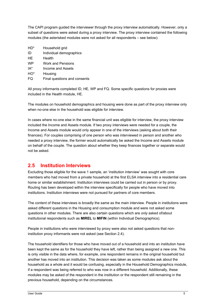The CAPI program guided the interviewer through the proxy interview automatically. However, only a subset of questions were asked during a proxy interview. The proxy interview contained the following modules (the asterisked modules were not asked for all respondents – see below):

- HD\* Household grid
- ID Individual demographics
- HE Health
- WP Work and Pensions
- IA\* Income and Assets
- HO\* Housing
- FQ Final questions and consents

All proxy informants completed ID, HE, WP and FQ. Some specific questions for proxies were included in the Health module, HE.

The modules on household demographics and housing were done as part of the proxy interview only when no-one else in the household was eligible for interview.

In cases where no-one else in the same financial unit was eligible for interview, the proxy interview included the Income and Assets module. If two proxy interviews were needed for a couple, the Income and Assets module would only appear in one of the interviews (asking about both their finances). For couples comprising of one person who was interviewed in person and another who needed a proxy interview, the former would automatically be asked the Income and Assets module on behalf of the couple. The question about whether they keep finances together or separate would not be asked.

#### **2.5 Institution Interviews**

Excluding those eligible for the wave 1 sample, an 'institution interview' was sought with core members who had moved from a private household at the first ELSA interview into a residential care home or similar establishment. Institution interviews could be carried out in person or by proxy. Routing has been developed within the interview specifically for people who have moved into institutions. Institution interviews were not pursued for partners of core members.

The content of these interviews is broadly the same as the main interview. People in institutions were asked different questions in the Housing and consumption module and were not asked some questions in other modules. There are also certain questions which are *only* asked of/about institutional respondents such as **MIREL** to **MIFIN** (within Individual Demographics).

People in institutions who were interviewed by proxy were also not asked questions that noninstitution proxy informants were not asked (see Section 2.4).

The household identifiers for those who have moved out of a household and into an institution have been kept the same as for the household they have left, rather than being assigned a new one. This is only visible in the data where, for example, one respondent remains in the original household but another has moved into an institution. This decision was taken as some modules ask about the household as a whole and it would be confusing, especially in the Household Demographics module, if a respondent was being referred to who was now in a different household. Additionally, these modules may be asked of the respondent in the institution or the respondent still remaining in the previous household, depending on the circumstances.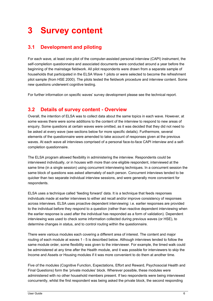# **3 Survey content**

# **3.1 Development and piloting**

For each wave, at least one pilot of the computer-assisted personal interview (CAPI) instrument, the self-completion questionnaire and associated documents were conducted around a year before the beginning of the mainstage fieldwork. All pilot respondents were drawn from a separate sample of households that participated in the ELSA Wave 1 pilots or were selected to become the refreshment pilot sample (from HSE 2000). The pilots tested the fieldwork procedure and interview content. Some new questions underwent cognitive testing.

For further information on specific waves' survey development please see the technical report.

### **3.2 Details of survey content - Overview**

Overall, the intention of ELSA was to collect data about the same topics in each wave. However, at some waves there were some additions to the content of the interview to respond to new areas of enquiry. Some questions at certain waves were omitted, as it was decided that they did not need to be asked at every wave (see sections below for more specific details). Furthermore, several elements of the questionnaire were amended to take account of responses given at the previous waves. At each wave all interviews comprised of a personal face-to-face CAPI interview and a selfcompletion questionnaire.

The ELSA program allowed flexibility in administering the interview. Respondents could be interviewed individually, or in houses with more than one eligible respondent, interviewed at the same time (in a single session) using concurrent interviewing techniques. In a concurrent session the same block of questions was asked alternately of each person. Concurrent interviews tended to be quicker than two separate individual interview sessions, and were generally more convenient for respondents.

ELSA uses a technique called 'feeding forward' data. It is a technique that feeds responses individuals made at earlier interviews to either aid recall and/or improve consistency of responses across interviews. ELSA uses proactive dependent interviewing: i.e. earlier responses are provided to the individual before they respond to a question (rather than reactive dependent interviewing when the earlier response is used after the individual has responded as a form of validation). Dependent interviewing was used to check some information collected during previous waves (or HSE), to determine changes in status, and to control routing within the questionnaire.

There were various modules each covering a different area of interest. The content and major routing of each module at waves 1 - 5 is described below. Although interviews tended to follow the same module order, some flexibility was given to the interviewer. For example, the timed walk could be administered at any time after the Health module, and it was possible for interviewers to skip the Income and Assets or Housing modules if it was more convenient to do them at another time.

Five of the modules (Cognitive Function, Expectations, Effort and Reward, Psychosocial Health and Final Questions) form the 'private modules' block. Wherever possible, these modules were administered with no other household members present. If two respondents were being interviewed concurrently, whilst the first respondent was being asked the private block, the second responding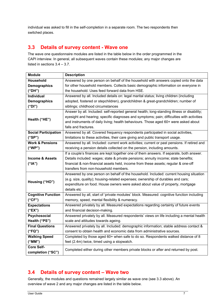individual was asked to fill in the self-completion in a separate room. The two respondents then switched places.

#### **3.3 Details of survey content - Wave one**

The wave one questionnaire modules are listed in the table below in the order programmed in the CAPI interview. In general, all subsequent waves contain these modules; any major changes are listed in sections 3.4 – 3.7.

| <b>Module</b><br><b>Description</b> |                                                                                              |
|-------------------------------------|----------------------------------------------------------------------------------------------|
| Household                           | Answered by one person on behalf of the household with answers copied onto the data          |
| <b>Demographics</b>                 | for other household members. Collects basic demographic information on everyone in           |
| ("DH")                              | the household. Uses feed forward data from HSE.                                              |
| <b>Individual</b>                   | Answered by all. Included details on: legal marital status; living children (including       |
| <b>Demographics</b>                 | adopted, fostered or stepchildren), grandchildren & great-grandchildren; number of           |
| ("DI")                              | siblings; childhood circumstances                                                            |
|                                     | Answer by all. Included: self-reported general health; long-standing illness or disability;  |
| Health ("HE")                       | eyesight and hearing; specific diagnoses and symptoms; pain; difficulties with activities    |
|                                     | and instruments of daily living; health behaviours. Those aged 60+ were asked about          |
|                                     | falls and fractures.                                                                         |
| <b>Social Participation</b>         | Answered by all. Covered frequency respondents participated in social activities,            |
| ("SP")                              | limitations to these activities, their care giving and public transport usage.               |
| <b>Work &amp; Pensions</b>          | Answered by all. Included: current work activities; current or past pensions. If retired and |
| ("WP")                              | receiving a pension details collected on the pension, including amounts.                     |
|                                     | If a couple's finances are kept together one of them answers. If separate, both answer.      |
| Income & Assets                     | Details included: wages; state & private pensions; annuity income; state benefits;           |
| (''IA")                             | financial & non-financial assets held, income from these assets; regular & one-off           |
|                                     | transfers from non-household members.                                                        |
|                                     | Answered by one person on behalf of the household. Included: current housing situation       |
| Housing ("HO")                      | (e.g. size, quality); housing-related expenses; ownership of durables and cars;              |
|                                     | expenditure on food. House owners were asked about value of property, mortgage               |
|                                     | details etc                                                                                  |
| <b>Cognitive Function</b>           | Answered by all, start of 'private modules' block. Measured: cognitive function including    |
| ("CF")                              | memory, speed, mental flexibility & numeracy.                                                |
| <b>Expectations</b>                 | Answered privately by all. Measured expectations regarding certainty of future events        |
| ("EX")                              | and financial decision-making.                                                               |
| Psychosocial                        | Answered privately by all. Measured respondents' views on life including a mental health     |
| Health ("PS")                       | scale and attitudes towards ageing.                                                          |
| <b>Final Questions</b>              | Answered privately by all. Included: demographic information; stable address contact &       |
| ("FQ")                              | consent to obtain health and economic data from administrative sources.                      |
| <b>Walking Speed</b>                | Completed by those aged 60+ when safe to do so. Respondents walked distance of 8             |
| ("MM")                              | feet (2.4m) twice, timed using a stopwatch.                                                  |
| <b>Core Self-</b>                   | Completed either during other members private blocks or after and returned by post.          |
| completion ("SC")                   |                                                                                              |

### **3.4 Details of survey content – Wave two**

Generally, the modules and questions remained largely similar as wave one (see 3.3 above). An overview of wave 2 and any major changes are listed in the table below.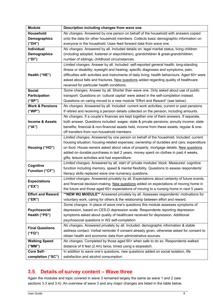| <b>Module</b>                  | Description including changes from wave one                                                                                                                                    |
|--------------------------------|--------------------------------------------------------------------------------------------------------------------------------------------------------------------------------|
| Household                      | No changes. Answered by one person on behalf of the household with answers copied                                                                                              |
| <b>Demographics</b>            | onto the data for other household members. Collects basic demographic information on                                                                                           |
| ("DH")                         | everyone in the household. Uses feed forward data from wave one.                                                                                                               |
| Individual                     | No changes. Answered by all. Included details on: legal marital status; living children                                                                                        |
| <b>Demographics</b>            | (including adopted, fostered or stepchildren), grandchildren & great-grandchildren;                                                                                            |
| ("DI")                         | number of siblings; childhood circumstances.                                                                                                                                   |
|                                | Limited changes. Answer by all. Included: self-reported general health; long-standing                                                                                          |
|                                | illness or disability; eyesight and hearing; specific diagnoses and symptoms; pain;                                                                                            |
| Health ("HE")                  | difficulties with activities and instruments of daily living; health behaviours. Aged 60+ were                                                                                 |
|                                | asked about falls and fractures. New questions added regarding quality of healthcare                                                                                           |
|                                | received for particular health conditions.                                                                                                                                     |
| <b>Social</b>                  | Some changes. Answer by all. Shorter than wave one. Only asked about use of public                                                                                             |
| Participation                  | transport. Questions on 'cultural capital' were asked in the self-completion instead.                                                                                          |
| ("SP")                         | Questions on caring moved to a new module "Effort and Reward" (see below).                                                                                                     |
| <b>Work &amp; Pensions</b>     | No changes. Answered by all. Included: current work activities; current or past pensions.                                                                                      |
| ("WP")                         | If retired and receiving a pension details collected on the pension, including amounts.                                                                                        |
|                                | No changes. If a couple's finances are kept together one of them answers. If separate,                                                                                         |
| <b>Income &amp; Assets</b>     | both answer. Questions included: wages; state & private pensions; annuity income; state                                                                                        |
| ("IA")                         | benefits; financial & non-financial assets held, income from these assets; regular & one-                                                                                      |
|                                | off transfers from non-household members.                                                                                                                                      |
|                                | Limited changes. Answered by one person on behalf of the household. Included: current                                                                                          |
|                                | housing situation; housing-related expenses; ownership of durables and cars; expenditure                                                                                       |
| Housing ("HO")                 | on food. House owners asked about value of property, mortgage details. New questions                                                                                           |
|                                | added on durable purchases in last 2 years, money spent on clothes in past 4 weeks,                                                                                            |
|                                | gifts, leisure activities and fuel expenditure.                                                                                                                                |
| Cognitive                      | Limited changes. Answered by all, start of 'private modules' block. Measured: cognitive                                                                                        |
| Function ("CF")                | function including memory, speed & mental flexibility. Questions to assess respondents'                                                                                        |
|                                | literacy skills replaced wave one numeracy questions.                                                                                                                          |
| <b>Expectations</b>            | Limited changes. Answered privately by all. Expectations about certainty of future events                                                                                      |
| ("EX")                         | and financial decision-making. New questions added on expectations of moving home in                                                                                           |
|                                | the future and those aged 60+ expectations of moving to a nursing home in next 5 years.                                                                                        |
| <b>Effort and Reward</b>       | **NEW W2 MODULE** Answered privately by all. Assesses respondents' motivations for                                                                                             |
| ("ER")                         | voluntary work, caring for others & the relationship between effort and reward.                                                                                                |
|                                | Some changes. In place of wave one's questions this module assesses symptoms of                                                                                                |
| Psychosocial                   | depression, based on CES-D depression scale. Respondents reporting depression                                                                                                  |
| Health ("PS")                  | symptoms asked about quality of healthcare received for depression. Additional                                                                                                 |
|                                | psychosocial questions in W2 self-completion.                                                                                                                                  |
| <b>Final Questions</b>         | No changes. Answered privately by all. Included: demographic information & stable<br>address contact. Verbal reminder if consent already given, otherwise asked for consent to |
| ("FQ")                         | obtain health and economic data from administrative sources.                                                                                                                   |
|                                | No changes. Completed by those aged 60+ when safe to do so. Respondents walked                                                                                                 |
| <b>Walking Speed</b><br>("MM") | distance of 8 feet (2.4m) twice, timed using a stopwatch.                                                                                                                      |
| <b>Core Self-</b>              | In addition to wave one's questions, new questions added on social isolation, life                                                                                             |
|                                |                                                                                                                                                                                |
| completion ("SC")              | satisfaction and alcohol consumption.                                                                                                                                          |

# **3.5 Details of survey content – Wave three**

Again the modules and topic covered in wave 3 remained largely the same as wave 1 and 2 (see sections 3.3 and 3.4). An overview of wave 3 and any major changes are listed in the table below.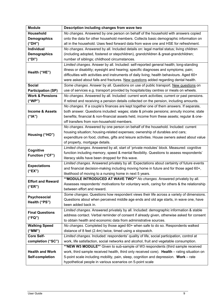| <b>Module</b>              | Description including changes from wave two                                                                                         |
|----------------------------|-------------------------------------------------------------------------------------------------------------------------------------|
| Household                  | No changes. Answered by one person on behalf of the household with answers copied                                                   |
| <b>Demographics</b>        | onto the data for other household members. Collects basic demographic information on                                                |
| ("DH")                     | all in the household. Uses feed forward data from wave one and HSE for refreshment.                                                 |
| Individual                 | No changes. Answered by all. Included details on: legal marital status; living children                                             |
| <b>Demographics</b>        | (including adopted, fostered or stepchildren), grandchildren & great-grandchildren;                                                 |
| ("DI")                     | number of siblings; childhood circumstances.                                                                                        |
|                            | Limited changes. Answer by all. Included: self-reported general health; long-standing                                               |
| Health ("HE")              | illness or disability; eyesight and hearing; specific diagnoses and symptoms; pain;                                                 |
|                            | difficulties with activities and instruments of daily living; health behaviours. Aged 60+                                           |
|                            | were asked about falls and fractures. New questions added regarding dental health.                                                  |
| <b>Social</b>              | Some changes. Answer by all. Questions on use of public transport. New questions on                                                 |
| <b>Participation (SP)</b>  | use of services e.g. transport provided by hospitals/day centres or meals on wheels.                                                |
| <b>Work &amp; Pensions</b> | No changes. Answered by all. Included: current work activities; current or past pensions.                                           |
| ("WP")                     | If retired and receiving a pension details collected on the pension, including amounts.                                             |
|                            | No changes. If a couple's finances are kept together one of them answers. If separate,                                              |
| <b>Income &amp; Assets</b> | both answer. Questions included: wages; state & private pensions; annuity income; state                                             |
| ("IA")                     | benefits; financial & non-financial assets held, income from these assets; regular & one-                                           |
|                            | off transfers from non-household members.                                                                                           |
|                            | No changes. Answered by one person on behalf of the household. Included: current                                                    |
| Housing ("HO")             | housing situation; housing-related expenses; ownership of durables and cars;                                                        |
|                            | expenditure on food, clothes, gifts and leisure activities. House owners asked about value                                          |
|                            | of property, mortgage details.                                                                                                      |
| Cognitive                  | Limited changes. Answered by all, start of 'private modules' block. Measured: cognitive                                             |
| <b>Function ("CF")</b>     | function including memory, speed & mental flexibility. Questions to assess respondents'                                             |
|                            | literacy skills have been dropped for this wave.                                                                                    |
| <b>Expectations</b>        | Limited changes. Answered privately by all. Expectations about certainty of future events                                           |
| ("EX")                     | and financial decision-making including moving home in future and for those aged 60+,                                               |
|                            | likelihood of moving to a nursing home in next 5 years.<br>**MODULE INTRODUCED AT WAVE TWO** No changes. Answered privately by all. |
| <b>Effort and Reward</b>   | Assesses respondents' motivations for voluntary work, caring for others & the relationship                                          |
| ("ER")                     | between effort and reward.                                                                                                          |
|                            | Some changes. Questions how respondent views their life across a variety of dimensions.                                             |
| Psychosocial               | Questions about when perceived middle age ends and old age starts, in wave one, have                                                |
| Health ("PS")              | been added back in.                                                                                                                 |
|                            | Limited changes. Answered privately by all. Included: demographic information & stable                                              |
| <b>Final Questions</b>     | address contact. Verbal reminder of consent if already given, otherwise asked for consent                                           |
| ("FQ")                     | to obtain health and economic data from administrative sources.                                                                     |
| <b>Walking Speed</b>       | No changes. Completed by those aged 60+ when safe to do so. Respondents walked                                                      |
| (''MM")                    | distance of 8 feet (2.4m) twice, timed using a stopwatch.                                                                           |
| <b>Core Self-</b>          | Limited changes. Included: respondents' quality of life, social participation, control at                                           |
| completion ("SC")          | work, life satisfaction, social networks and alcohol, fruit and vegetable consumption.                                              |
|                            | **NEW W3 MODULE** Given to sub-sample of W3 respondents (third sample received                                                      |
| <b>Health and Work</b>     | work, third sample received health, third only received core). Health - rating situation on                                         |
| Self-completion            | 5-point scale including mobility, pain, sleep, cognition and depression. Work - rate                                                |
|                            | hypothetical people in various scenarios on 5-point scale                                                                           |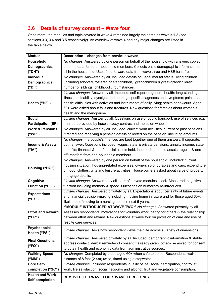# **3.6 Details of survey content – Wave four**

Once more, the modules and topic covered in wave 4 remained largely the same as wave's 1-3 (see sections 3.3, 3.4 and 3.5 respectively). An overview of wave 4 and any major changes are listed in the table below.

| <b>Module</b><br>Description - changes from previous waves |                                                                                                                                                                                                                                                                                      |
|------------------------------------------------------------|--------------------------------------------------------------------------------------------------------------------------------------------------------------------------------------------------------------------------------------------------------------------------------------|
| Household                                                  | No changes. Answered by one person on behalf of the household with answers copied                                                                                                                                                                                                    |
| <b>Demographics</b>                                        | onto the data for other household members. Collects basic demographic information on                                                                                                                                                                                                 |
| ("DH")                                                     | all in the household. Uses feed forward data from wave three and HSE for refreshment.                                                                                                                                                                                                |
| <b>Individual</b>                                          | No changes. Answered by all. Included details on: legal marital status; living children                                                                                                                                                                                              |
| <b>Demographics</b>                                        | (including adopted, fostered or stepchildren), grandchildren & great-grandchildren;                                                                                                                                                                                                  |
| ("DI")                                                     | number of siblings; childhood circumstances.                                                                                                                                                                                                                                         |
| Health ("HE")                                              | Limited changes. Answer by all. Included: self-reported general health; long-standing<br>illness or disability; eyesight and hearing; specific diagnoses and symptoms; pain; dental<br>health; difficulties with activities and instruments of daily living; health behaviours. Aged |
|                                                            | 60+ were asked about falls and fractures. New questions for females about women's                                                                                                                                                                                                    |
|                                                            | health and the menopause.                                                                                                                                                                                                                                                            |
| <b>Social</b>                                              | Limited changes. Answer by all. Questions on use of public transport; use of services e.g.                                                                                                                                                                                           |
| <b>Participation (SP)</b>                                  | transport provided by hospitals/day centres and meals on wheels.                                                                                                                                                                                                                     |
| <b>Work &amp; Pensions</b>                                 | No changes. Answered by all. Included: current work activities; current or past pensions.                                                                                                                                                                                            |
| ("WP")                                                     | If retired and receiving a pension details collected on the pension, including amounts.                                                                                                                                                                                              |
|                                                            | No changes. If a couple's finances are kept together one of them answers. If separate,                                                                                                                                                                                               |
| <b>Income &amp; Assets</b>                                 | both answer. Questions included: wages; state & private pensions; annuity income; state                                                                                                                                                                                              |
| ("IA")                                                     | benefits; financial & non-financial assets held, income from these assets; regular & one-                                                                                                                                                                                            |
|                                                            | off transfers from non-household members.                                                                                                                                                                                                                                            |
|                                                            | No changes. Answered by one person on behalf of the household. Included: current                                                                                                                                                                                                     |
| Housing ("HO")                                             | housing situation; housing-related expenses; ownership of durables and cars; expenditure                                                                                                                                                                                             |
|                                                            | on food, clothes, gifts and leisure activities. House owners asked about value of property,<br>mortgage details.                                                                                                                                                                     |
| Cognitive                                                  | Limited changes. Answered by all, start of 'private modules' block. Measured: cognitive                                                                                                                                                                                              |
| Function ("CF")                                            | function including memory & speed. Questions on numeracy re-introduced.                                                                                                                                                                                                              |
|                                                            | Limited changes. Answered privately by all. Expectations about certainty of future events                                                                                                                                                                                            |
| <b>Expectations</b>                                        | and financial decision-making including moving home in future and for those aged 60+,                                                                                                                                                                                                |
| ("EX")                                                     | likelihood of moving to a nursing home in next 5 years.                                                                                                                                                                                                                              |
|                                                            | **MODULE INTRODUCED AT WAVE TWO** No changes. Answered privately by all.                                                                                                                                                                                                             |
| <b>Effort and Reward</b>                                   | Assesses respondents' motivations for voluntary work, caring for others & the relationship                                                                                                                                                                                           |
| ("ER")                                                     | between effort and reward. New questions at wave four on provision of care and use of                                                                                                                                                                                                |
|                                                            | respite care services.                                                                                                                                                                                                                                                               |
| Psychosocial<br>Health ("PS")                              | Limited changes. Asks how respondent views their life across a variety of dimensions.                                                                                                                                                                                                |
| <b>Final Questions</b>                                     | Limited changes. Answered privately by all. Included: demographic information & stable                                                                                                                                                                                               |
| ("FQ")                                                     | address contact. Verbal reminder of consent if already given; otherwise asked for consent                                                                                                                                                                                            |
|                                                            | to obtain health and economic data from administrative sources.                                                                                                                                                                                                                      |
| <b>Walking Speed</b>                                       | No changes. Completed by those aged 60+ when safe to do so. Respondents walked                                                                                                                                                                                                       |
| ("MM")                                                     | distance of 8 feet (2.4m) twice, timed using a stopwatch.                                                                                                                                                                                                                            |
| <b>Core Self-</b>                                          | Limited changes. Included: respondents' quality of life, social participation, control at                                                                                                                                                                                            |
| completion ("SC")                                          | work, life satisfaction, social networks and alcohol, fruit and vegetable consumption.                                                                                                                                                                                               |
| <b>Health and Work</b><br>Self-completion                  | REMOVED FOR WAVE FOUR. WAVE THREE ONLY.                                                                                                                                                                                                                                              |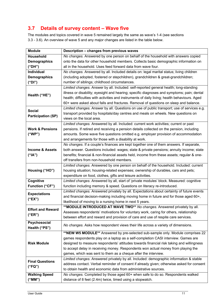# **3.7 Details of survey content – Wave five**

The modules and topics covered in wave 5 remained largely the same as wave's 1-4 (see sections 3.3 - 3.6). An overview of wave 5 and any major changes are listed in the table below.

| <b>Module</b>              | Description - changes from previous waves                                                     |
|----------------------------|-----------------------------------------------------------------------------------------------|
| Household                  | No changes. Answered by one person on behalf of the household with answers copied             |
| <b>Demographics</b>        | onto the data for other household members. Collects basic demographic information on          |
| ("DH")                     | all in the household. Uses feed forward data from wave four.                                  |
| Individual                 | No changes. Answered by all. Included details on: legal marital status; living children       |
| <b>Demographics</b>        | (including adopted, fostered or stepchildren), grandchildren & great-grandchildren;           |
| ("DI")                     | number of siblings; childhood circumstances.                                                  |
|                            | Limited changes. Answer by all. Included: self-reported general health; long-standing         |
| Health ("HE")              | illness or disability; eyesight and hearing; specific diagnoses and symptoms; pain; dental    |
|                            | health; difficulties with activities and instruments of daily living; health behaviours. Aged |
|                            | 60+ were asked about falls and fractures. Removal of questions on sleep and balance.          |
| <b>Social</b>              | Limited changes. Answer by all. Questions on use of public transport; use of services e.g.    |
| <b>Participation (SP)</b>  | transport provided by hospitals/day centres and meals on wheels. New questions on             |
|                            | views on the local area.                                                                      |
|                            | Limited changes. Answered by all. Included: current work activities; current or past          |
| <b>Work &amp; Pensions</b> | pensions. If retired and receiving a pension details collected on the pension, including      |
| ("WP")                     | amounts. Some wave five questions omitted e.g. employer provision of accommodation            |
|                            | and arrangements for those with a disability at work.                                         |
|                            | No changes. If a couple's finances are kept together one of them answers. If separate,        |
| <b>Income &amp; Assets</b> | both answer. Questions included: wages; state & private pensions; annuity income; state       |
| ("IA")                     | benefits; financial & non-financial assets held, income from these assets; regular & one-     |
|                            | off transfers from non-household members.                                                     |
|                            | Limited changes. Answered by one person on behalf of the household. Included: current         |
| Housing ("HO")             | housing situation; housing-related expenses; ownership of durables, cars and pets;            |
|                            | expenditure on food, clothes, gifts and leisure activities.                                   |
| <b>Cognitive</b>           | Limited changes. Answered by all, start of 'private modules' block. Measured: cognitive       |
| <b>Function ("CF")</b>     | function including memory & speed. Questions on literacy re-introduced.                       |
| <b>Expectations</b>        | Limited changes. Answered privately by all. Expectations about certainty of future events     |
| ("EX")                     | and financial decision-making including moving home in future and for those aged 60+,         |
|                            | likelihood of moving to a nursing home in next 5 years.                                       |
| <b>Effort and Reward</b>   | **MODULE INTRODUCED AT WAVE TWO** No changes. Answered privately by all.                      |
| ("ER")                     | Assesses respondents' motivations for voluntary work, caring for others, relationship         |
|                            | between effort and reward and provision of care and use of respite care services.             |
| Psychosocial               | No changes. Asks how respondent views their life across a variety of dimensions.              |
| Health ("PS")              | ** NEW W5 MODULE** Answered by pre-selected sub-sample only. Module comprises 22              |
|                            | games respondents play on a laptop as a self-completion CASI interview. Games are             |
| <b>Risk Module</b>         | designed to measure respondents' attitudes towards financial risk taking and willingness      |
|                            | to accept delay in receiving money. Respondents won actual money from playing the             |
|                            | games, which was sent to them as a cheque after the interview.                                |
|                            | Limited changes. Answered privately by all. Included: demographic information & stable        |
| <b>Final Questions</b>     | address contact. Verbal reminder of consent if already given; otherwise asked for consent     |
| ("FQ")                     | to obtain health and economic data from administrative sources.                               |
| <b>Walking Speed</b>       | No changes. Completed by those aged 60+ when safe to do so. Respondents walked                |
| ("MM")                     | distance of 8 feet (2.4m) twice, timed using a stopwatch.                                     |
|                            |                                                                                               |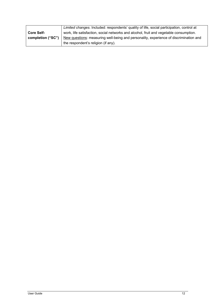|                   | Limited changes. Included: respondents' quality of life, social participation, control at |
|-------------------|-------------------------------------------------------------------------------------------|
| <b>Core Self-</b> | work, life satisfaction, social networks and alcohol, fruit and vegetable consumption.    |
| completion ("SC") | New questions: measuring well-being and personality, experience of discrimination and     |
|                   | the respondent's religion (if any).                                                       |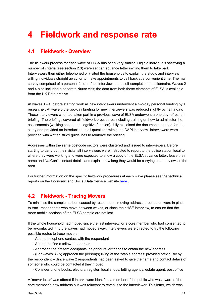# **4 Fieldwork and response rate**

#### **4.1 Fieldwork - Overview**

The fieldwork process for each wave of ELSA has been very similar. Eligible individuals satisfying a number of criteria (see section 2.3) were sent an advance letter inviting them to take part. Interviewers then either telephoned or visited the households to explain the study, and interview willing individuals straight away, or to make appointments to call back at a convenient time. The main survey comprised of a personal face-to-face interview and a self-completion questionnaire. Waves 2 and 4 also included a separate Nurse visit; the data from both these elements of ELSA is available from the UK Data archive.

At waves 1 - 4, before starting work all new interviewers underwent a two-day personal briefing by a researcher. At wave 5 the two-day briefing for new interviewers was reduced slightly by half a day. Those interviewers who had taken part in a previous wave of ELSA underwent a one day refresher briefing. The briefings covered all fieldwork procedures including training on how to administer the assessments (walking speed and cognitive function), fully explained the documents needed for the study and provided an introduction to all questions within the CAPI interview. Interviewers were provided with written study guidelines to reinforce the briefing.

Addresses within the same postcode sectors were clustered and issued to interviewers. Before starting to carry out their visits, all interviewers were instructed to report to the police station local to where they were working and were expected to show a copy of the ELSA advance letter, leave their name and NatCen's contact details and explain how long they would be carrying out interviews in the area.

For further information on the specific fieldwork procedures at each wave please see the technical reports on the Economic and Social Data Service website here .

#### **4.2 Fieldwork - Tracing Movers**

To minimise the sample attrition caused by respondents moving address, procedures were in place to track respondents who move between waves, or since their HSE interview, to ensure that the more mobile sections of the ELSA sample are not lost.

If the whole household had moved since the last interview, or a core member who had consented to be re-contacted in future waves had moved away, interviewers were directed to try the following possible routes to trace movers:

- Attempt telephone contact with the respondent
- Attempt to find a follow-up address
- Approach the present occupants, neighbours, or friends to obtain the new address

 - (For waves 3 - 5) approach the person(s) living at the 'stable address' provided previously by the respondent – Since wave 2 respondents had been asked to give the name and contact details of someone who could be contacted if they moved

- Consider phone books, electoral register, local shops, letting agency, estate agent, post office

A 'mover letter' was offered if interviewers identified a member of the public who was aware of the core member's new address but was reluctant to reveal it to the interviewer. This letter, which was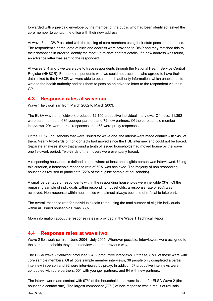forwarded with a pre-paid envelope by the member of the public who had been identified, asked the core member to contact the office with their new address.

At wave 3 the DWP assisted with the tracing of core members using their state pension databases. The respondent's name, date of birth and address were provided to DWP and they matched this to their databases in order to identify the most up-to-date contact details. If a new address was found, an advance letter was sent to the respondent.

At waves 3, 4 and 5 we were able to trace respondents through the National Health Service Central Register (NHSCR). For those respondents who we could not trace and who agreed to have their data linked to the NHSCR we were able to obtain health authority information, which enabled us to write to the health authority and ask them to pass on an advance letter to the respondent via their GP.

#### **4.3 Response rates at wave one**

Wave 1 fieldwork ran from March 2002 to March 2003.

The ELSA wave one fieldwork produced 12,100 productive individual interviews. Of these, 11,392 were core members, 636 younger partners and 72 new partners. Of the core sample member interviews, 204 were partial responses and 158 were proxy responses.

Of the 11,578 households that were issued for wave one, the interviewers made contact with 94% of them. Nearly two-thirds of non-contacts had moved since the HSE interview and could not be traced. Separate analyses show that around a tenth of issued households had moved house by the wave one fieldwork period. Two-thirds of the movers were eventually traced.

A responding household is defined as one where at least one eligible person was interviewed. Using this criterion, a household response rate of 70% was achieved. The majority of non responding households refused to participate (22% of the eligible sample of households).

A small percentage of respondents within the responding households were ineligible (3%). Of the remaining sample of individuals within responding households, a response rate of 96% was achieved. Non-response within households was almost always because of refusal to take part.

The overall response rate for individuals (calculated using the total number of eligible individuals within all issued households) was 66%.

More information about the response rates is provided in the Wave 1 Technical Report.

#### **4.4 Response rates at wave two**

Wave 2 fieldwork ran from June 2004 - July 2005. Wherever possible, interviewers were assigned to the same households they had interviewed at the previous wave.

The ELSA wave 2 fieldwork produced 9,432 productive interviews. Of these, 8780 of these were with core sample members. Of all core sample member interviews, 38 people only completed a partial interview in person and 92 were interviewed by proxy. In addition 57 productive interviews were conducted with core partners, 501 with younger partners, and 94 with new partners.

The interviewer made contact with 97% of the households that were issued for ELSA Wave 2 (the household contact rate). The largest component (77%) of non-response was a result of refusals.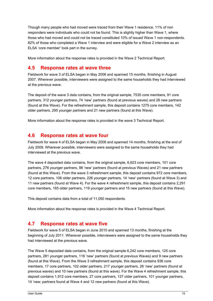Though many people who had moved were traced from their Wave 1 residence, 11% of non responders were individuals who could not be found. This is slightly higher than Wave 1, where those who had moved and could not be traced constituted 10% of issued Wave 1 non-respondents. 82% of those who completed a Wave 1 interview and were eligible for a Wave 2 interview as an ELSA 'core member' took part in the survey.

More information about the response rates is provided in the Wave 2 Technical Report.

#### **4.5 Response rates at wave three**

Fieldwork for wave 3 of ELSA began in May 2006 and spanned 15 months, finishing in August 2007. Wherever possible, interviewers were assigned to the same households they had interviewed at the previous wave.

The deposit of the wave 3 data contains, from the original sample, 7535 core members, 91 core partners, 312 younger partners, 74 'new' partners (found at previous waves) and 26 new partners (found at this Wave). For the refreshment sample, this deposit contains 1275 core members, 142 older partners, 295 younger partners and 21 new partners (found at this Wave).

More information about the response rates is provided in the wave 3 Technical Report.

#### **4.6 Response rates at wave four**

Fieldwork for wave 4 of ELSA began in May 2008 and spanned 14 months, finishing at the end of July 2009. Wherever possible, interviewers were assigned to the same households they had interviewed at the previous wave.

The wave 4 deposited data contains, from the original sample, 6,623 core members, 101 core partners, 276 younger partners, 98 'new' partners (found at previous Waves) and 21 new partners (found at this Wave). From the wave 3 refreshment sample, this deposit contains 972 core members, 12 core partners, 106 older partners, 226 younger partners, 14 'new' partners (found at Wave 3) and 11 new partners (found at Wave 4). For the wave 4 refreshment sample, this deposit contains 2,291 core members, 165 older partners, 119 younger partners and 15 new partners (found at this Wave).

This deposit contains data from a total of 11,050 respondents.

More information about the response rates is provided in the Wave 4 Technical Report.

#### **4.7 Response rates at wave five**

Fieldwork for wave 5 of ELSA began in June 2010 and spanned 13 months, finishing at the beginning of July 2011. Wherever possible, interviewers were assigned to the same households they had interviewed at the previous wave.

The Wave 5 deposited data contains, from the original sample 6,242 core members, 125 core partners, 281 younger partners, 116 'new' partners (found at previous Waves) and 9 new partners (found at this Wave). From the Wave 3 refreshment sample, this deposit contains 936 core members, 17 core partners, 102 older partners, 217 younger partners, 26 'new' partners (found at previous waves) and 10 new partners (found at this wave). For the Wave 4 refreshment sample, this deposit contains 1,912 core members, 27 core partners, 127 older partners, 101 younger partners, 14 'new; partners found at Wave 4 and 12 new partners (found at this Wave).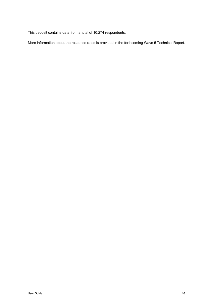This deposit contains data from a total of 10,274 respondents.

More information about the response rates is provided in the forthcoming Wave 5 Technical Report.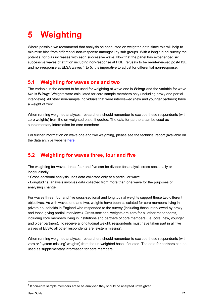# **5 Weighting**

Where possible we recommend that analysis be conducted on weighted data since this will help to minimise bias from differential non-response amongst key sub groups. With a longitudinal survey the potential for bias increases with each successive wave. Now that the panel has experienced six successive waves of attrition including non-response at HSE, refusals to be re-interviewed post-HSE and non-response at ELSA waves 1 to 5, it is imperative to adjust for differential non-response.

#### **5.1 Weighting for waves one and two**

The variable in the dataset to be used for weighting at wave one is **W1wgt** and the variable for wave two is **W2wgt.** Weights were calculated for core sample members only (including proxy and partial interviews). All other non-sample individuals that were interviewed (new and younger partners) have a weight of zero.

When running weighted analyses, researchers should remember to exclude these respondents (with zero weights) from the un-weighted base, if quoted. The data for partners can be used as supplementary information for core members<sup>4</sup>.

For further information on wave one and two weighting, please see the technical report (available on the data archive website here.

## **5.2 Weighting for waves three, four and five**

The weighting for waves three, four and five can be divided for analysis cross-sectionally or longitudinally:

• Cross-sectional analysis uses data collected only at a particular wave.

• Longitudinal analysis involves data collected from more than one wave for the purposes of analysing change.

For waves three, four and five cross-sectional and longitudinal weights support these two different objectives. As with waves one and two, weights have been calculated for core members living in private households in England who responded to the survey (including those interviewed by proxy and those giving partial interviews). Cross-sectional weights are zero for all other respondents, including core members living in institutions and partners of core members (i.e. core, new, younger and older partners). To receive a longitudinal weight, respondents must have taken part in all five waves of ELSA; all other respondents are 'system missing'.

When running weighted analyses, researchers should remember to exclude these respondents (with zero or 'system missing' weights) from the un-weighted base, if quoted. The data for partners can be used as supplementary information for core members.

1

 $<sup>4</sup>$  If non-core sample members are to be analysed they should be analysed unweighted.</sup>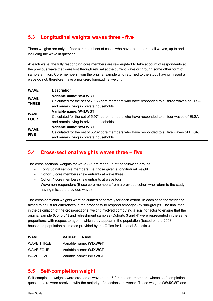# **5.3 Longitudinal weights waves three - five**

These weights are only defined for the subset of cases who have taken part in all waves, up to and including the wave in question.

At each wave, the fully responding core members are re-weighted to take account of respondents at the previous wave that were lost through refusal at the current wave or through some other form of sample attrition. Core members from the original sample who returned to the study having missed a wave do not, therefore, have a non-zero longitudinal weight.

| <b>WAVE</b>                 | <b>Description</b>                                                                                                                                               |  |
|-----------------------------|------------------------------------------------------------------------------------------------------------------------------------------------------------------|--|
| <b>WAVE</b><br><b>THREE</b> | Variable name: W3LWGT<br>Calculated for the set of 7,168 core members who have responded to all three waves of ELSA,<br>and remain living in private households. |  |
| <b>WAVE</b><br><b>FOUR</b>  | Variable name: W4LWGT<br>Calculated for the set of 5,971 core members who have responded to all four waves of ELSA,<br>and remain living in private households.  |  |
| <b>WAVE</b><br><b>FIVE</b>  | Variable name: W5LWGT<br>Calculated for the set of 5,262 core members who have responded to all five waves of ELSA,<br>and remain living in private households.  |  |

## **5.4 Cross-sectional weights waves three – five**

The cross sectional weights for wave 3-5 are made up of the following groups:

- Longitudinal sample members (i.e. those given a longitudinal weight)
- Cohort 3 core members (new entrants at wave three)
- Cohort 4 core members (new entrants at wave four)
- Wave non-responders (those core members from a previous cohort who return to the study having missed a previous wave)

The cross-sectional weights were calculated separately for each cohort. In each case the weighting aimed to adjust for differences in the propensity to respond amongst key sub-groups. The final step in the calculation of the cross-sectional weight involved computing a scaling factor to ensure that the original sample (Cohort 1) and refreshment samples (Cohorts 3 and 4) were represented in the same proportions, with respect to age, in which they appear in the population (based on the 2008 household population estimates provided by the Office for National Statistics).

| <b>WAVE</b>       | <b>VARIABLE NAME</b>  |
|-------------------|-----------------------|
| <b>WAVE THREE</b> | Variable name: W3XWGT |
| WAVE FOUR         | Variable name: W4XWGT |
| WAVE FIVE         | Variable name: W5XWGT |

#### **5.5 Self-completion weight**

Self-completion weights were created at wave 4 and 5 for the core members whose self-completion questionnaire were received with the majority of questions answered. These weights (**W4SCWT** and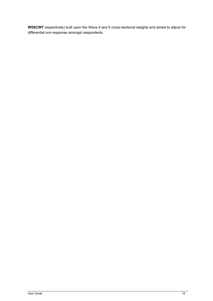**W5SCWT** respectively) built upon the Wave 4 and 5 cross-sectional weights and aimed to adjust for differential non-response amongst respondents.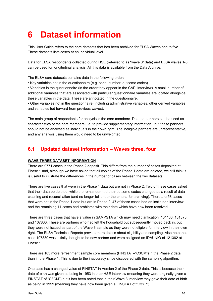# **6 Dataset information**

This User Guide refers to the core datasets that has been archived for ELSA Waves one to five. These datasets lists cases at an individual level.

Data for ELSA respondents collected during HSE (referred to as "wave 0" data) and ELSA waves 1-5 can be used for longitudinal analysis. All this data is available from the Data Archive.

The ELSA core datasets contains data in the following order:

• Key variables not in the questionnaire (e.g. serial number, outcome codes)

• Variables in the questionnaire (in the order they appear in the CAPI interview). A small number of additional variables that are associated with particular questionnaire variables are located alongside these variables in the data. These are annotated in the questionnaire.

• Other variables not in the questionnaire (including administrative variables, other derived variables and variables fed forward from previous waves).

The main group of respondents for analysis is the core members. Data on partners can be used as characteristics of the core members (i.e. to provide supplementary information), but these partners should not be analysed as individuals in their own right. The ineligible partners are unrepresentative, and any analysis using them would need to be unweighted.

### **6.1 Updated dataset information – Waves three, four**

#### **WAVE THREE DATASET INFORMATION**

There are 9771 cases in the Phase 2 deposit. This differs from the number of cases deposited at Phase 1 and, although we have asked that all copies of the Phase 1 data are deleted, we still think it is useful to illustrate the differences in the number of cases between the two datasets.

There are five cases that were in the Phase 1 data but are not in Phase 2. Two of these cases asked that their data be deleted, while the remainder had their outcome codes changed as a result of data cleaning and reconciliation (and no longer fell under the criteria for archiving). There are 58 cases that were not in the Phase 1 data but are in Phase 2. 47 of these cases had an institution interview and the remaining 11 cases had problems with their data which have now been resolved.

There are three cases that have a value in SAMPSTA which may need clarification: 101166, 101375 and 107830. These are partners who had left the household but subsequently moved back in, but they were not issued as part of the Wave 3 sample as they were not eligible for interview in their own right. The ELSA Technical Reports provide more details about eligibility and sampling. Also note that case 107830 was initially thought to be new partner and were assigned an IDAUNIQ of 121362 at Phase 1.

There are 103 more refreshment sample core members (FINSTAT="C3CM") in the Phase 2 data than in the Phase 1. This is due to the inaccuracy since discovered with the sampling algorithm.

One case has a changed value of FINSTAT in Version 2 of the Phase 2 data. This is because their date of birth was given as being in 1953 in their HSE interview (meaning they were originally given a FINSTAT of "C3CM") but it has been noted that in their Wave 3 interview they gave their date of birth as being in 1959 (meaning they have now been given a FINSTAT of "C3YP").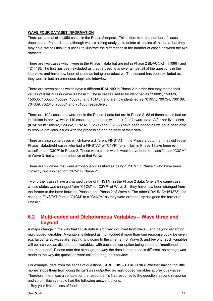#### **WAVE FOUR DATASET INFORMATION**

There are a total of 11,050 cases in the Phase 2 deposit. This differs from the number of cases deposited at Phase 1 and, although we are asking analysts to delete all copies of this data that they may hold, we still think it is useful to illustrate the differences in the number of cases between the two datasets.

There are two cases which were in the Phase 1 data but are not in Phase 2 (IDAUNIQ= 110861 and 121418). The first has been excluded as they refused to answer almost all of the questions in the interview, and have now been classed as being unproductive. The second has been excluded as they were in fact an erroneous duplicate interview.

There are seven cases which have a different IDAUNIQ in Phase 2 in order that they match their values of IDAUNIQ in Wave 3 Phase 2. These cases used to be identified as 150081, 150328, 150535, 150583, 150597, 150870, and 151487 and are now identified as 701951, 700754, 700108, 704339, 702643, 700564 and 701668 respectively.

There are 192 cases that were not in the Phase 1 data but are in Phase 2. 68 of these cases had an institution interview, while 119 cases had problems with their feedforward data. A further five cases (IDAUNIQ= 108592, 120652, 118292, 112695 and 112832) have been added as we have been able to resolve previous issues with the processing and delivery of their data.

There are also some cases which have a different FINSTAT in the Phase 2 data than they did in the Phase 1data. Eight cases who had a FINSTAT of "C1YP" (or similar) in Phase 1 have been reclassified as "C3CP" in Phase 2. These were cases which would have been re-classified as "C3CM" at Wave 3, but were unproductive at that Wave.

There are 92 cases that were erroneously classified as being "C1CM" in Phase 1 who have been correctly re-classified to "C3CM" in Phase 2.

Two further cases have a changed value of FINSTAT in the Phase 2 data. One is the same case whose status was changed from "C3CM" to "C3YP" at Wave 3 – they have now been changed from the former to the latter between Phase 1 and Phase 2 of Wave 4. The other (IDAUNIQ=161873) has changed FINSTAT from a "C4CM" to a "C4NP4" as they were erroneously assigned the former at Phase 1.

#### **6.2 Multi-coded and Dichotomous Variables – Wave three and beyond**

A major change in the way that ELSA data is archived occurred from wave 3 and beyond regarding multi-coded variables. A variable is defined as multi-coded if more than one response could be given e.g. favourite activities are reading *and* going to the cinema. For Wave 3, and beyond, such variables will be archived as dichotomous variables, with each answer option being coded as 'mentioned' or 'not mentioned'. Please note that although the way the data is presented is different, no change was made to the way the questions were asked during the interview.

For example, data from the series of questions **EXRELE01** – **EXRELE10** ("Whether having too little money stops them from doing things") was outputted as multi-coded variables at previous waves. Therefore, there was a variable for the respondent's first response to the question, second response and so on. Each variable had the following answer options:

1 Buy your first choices of food items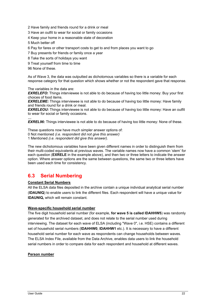2 Have family and friends round for a drink or meal

3 Have an outfit to wear for social or family occasions

4 Keep your home in a reasonable state of decoration

5 Much better off

6 Pay for fares or other transport costs to get to and from places you want to go

7 Buy presents for friends or family once a year

8 Take the sorts of holidays you want

9 Treat yourself from time to time

96 None of these.

*…* 

As of Wave 3, the data was outputted as dichotomous variables so there is a variable for each response category for that question which shows whether or not the respondent gave that response.

The variables in the data are:

**EXRELEFO:** Things interviewee is not able to do because of having too little money: Buy your first choices of food items.

**EXRELEME:** Things interviewee is not able to do because of having too little money: Have family and friends round for a drink or meal.

**EXRELEOU:** Things interviewee is not able to do because of having too little money: Have an outfit to wear for social or family occasions.

**EXREL96:** Things interviewee is not able to do because of having too little money: None of these.

These questions now have much simpler answer options of:

0 Not mentioned *(i.e. respondent did not give this answer)* 

1 Mentioned *(i.e. respondent did give this answer).* 

The new dichotomous variables have been given different names in order to distinguish them from their multi-coded equivalents at previous waves. The variable names now have a common 'stem' for each question (**EXRELE** in the example above), and then two or three letters to indicate the answer option. Where answer options are the same between questions, the same two or three letters have been used each time for consistency.

#### **6.3 Serial Numbering**

#### **Constant Serial Numbers**

All the ELSA data files deposited in the archive contain a unique individual analytical serial number (**IDAUNIQ**) to enable users to link the different files. Each respondent will have a unique value for **IDAUNIQ,** which will remain constant.

#### **Wave-specific household serial number**

The five digit household serial number (for example, **for wave 5 is called IDAHHW5**) was randomly generated for the archived dataset, and does not relate to the serial number used during interviewing. The dataset for each wave of ELSA (including "Wave 0", i.e. HSE) contains a different set of household serial numbers (**IDAHHW0**, **IDAHHW1** etc.). It is necessary to have a different household serial number for each wave as respondents can change households between waves. The ELSA Index File, available from the Data Archive, enables data users to link the household serial numbers in order to compare data for each respondent and household at different waves.

#### **Person number**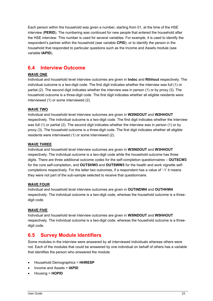Each person within the household was given a number, starting from 01, at the time of the HSE interview (**PERID**). The numbering was continued for new people that entered the household after the HSE interview. This number is used for several variables. For example, it is used to identify the respondent's partner within the household (see variable **CPID**), or to identify the person in the household that responded to particular questions such as the Income and Assets module (see variable **IAPID**).

#### **6.4 Interview Outcome**

#### **WAVE ONE**

Individual and household level interview outcomes are given in **Indoc** and **Rthhout** respectively. The individual outcome is a two-digit code. The first digit indicates whether the interview was full (1) or partial (2). The second digit indicates whether the interview was in person (1) or by proxy (3). The household outcome is a three-digit code. The first digit indicates whether all eligible residents were interviewed (1) or some interviewed (2).

#### **WAVE TWO**

Individual and household level interview outcomes are given in **W2INDOUT** and **W2HHOUT**  respectively. The individual outcome is a two-digit code. The first digit indicates whether the interview was full (1) or partial (2). The second digit indicates whether the interview was in person (1) or by proxy (3). The household outcome is a three-digit code. The first digit indicates whether all eligible residents were interviewed (1) or some interviewed (2).

#### **WAVE THREE**

Individual and household level interview outcomes are given in **W3INDOUT** and **W3HHOUT**  respectively. The individual outcome is a two-digit code while the household outcome has three digits. There are three additional outcome codes for the self-completion questionnaires – **OUTSCW3**  for the core self-completion, and **OUTSHW3** and **OUTSWW3** for the health and work vignette selfcompletions respectively. For the latter two outcomes, if a respondent has a value of '-1' it means they were not part of the sub-sample selected to receive that questionnaire.

#### **WAVE FOUR**

Individual and household level interview outcomes are given in **OUTINDW4** and **OUTHHW4** respectively. The individual outcome is a two-digit code, whereas the household outcome is a threedigit code.

#### **WAVE FIVE**

Individual and household level interview outcomes are given in **W5INDOUT** and **W5HHOUT** respectively. The individual outcome is a two-digit code, whereas the household outcome is a threedigit code.

#### **6.5 Survey Module Identifiers**

Some modules in the interview were answered by all interviewed individuals whereas others were not. Each of the modules that could be answered by one individual on behalf of others has a variable that identifies the person who answered the module:

- Household Demographics = **HHRESP**
- Income and Assets = **IAPID**
- Housing = **HOPID**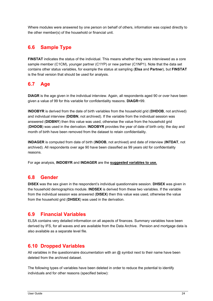Where modules were answered by one person on behalf of others, information was copied directly to the other member(s) of the household or financial unit.

### **6.6 Sample Type**

**FINSTAT** indicates the status of the individual. This means whether they were interviewed as a core sample member (C1CM), younger partner (C1YP) or new partner (C1NP1). Note that the data set contains other status variables, for example the status at sampling (**Elsa** and **Partner**), but **FINSTAT**  is the final version that should be used for analysis.

## **6.7 Age**

**DIAGR** is the age given in the individual interview. Again, all respondents aged 90 or over have been given a value of 99 for this variable for confidentiality reasons. **DIAGR**=99.

**INDOBYR** is derived from the date of birth variables from the household grid (**DHDOB**, not archived) and individual interview (**DIDBN**, not archived). If the variable from the individual session was answered (**DIDBNY**) then this value was used, otherwise the value from the household grid (**DHDOB**) was used in the derivation. **INDOBYR** provides the year of date of birth only; the day and month of birth have been removed from the dataset to retain confidentiality.

**INDAGER** is computed from date of birth (**INDOB**, not archived) and date of interview (**INTDAT**, not archived). All respondents over age 90 have been classified as 99 years old for confidentiality reasons.

For age analysis, **INDOBYR** and **INDAGER** are the **suggested variables to use.** 

#### **6.8 Gender**

**DISEX** was the sex given in the respondent's individual questionnaire session. **DHSEX** was given in the household demographics module. **INDSEX** is derived from these two variables. If the variable from the individual session was answered (**DISEX**) then this value was used, otherwise the value from the household grid (**DHSEX**) was used in the derivation.

#### **6.9 Financial Variables**

ELSA contains very detailed information on all aspects of finances. Summary variables have been derived by IFS, for all waves and are available from the Data Archive. Pension and mortgage data is also available as a separate level file.

#### **6.10 Dropped Variables**

All variables in the questionnaire documentation with an  $@$  symbol next to their name have been deleted from the archived dataset.

The following types of variables have been deleted in order to reduce the potential to identify individuals and for other reasons (specified below):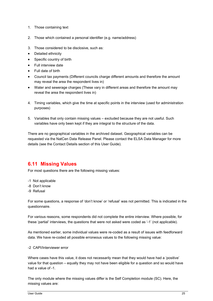- 1. Those containing text
- 2. Those which contained a personal identifier (e.g. name/address)
- 3. Those considered to be disclosive, such as:
- Detailed ethnicity
- Specific country of birth
- Full interview date
- Full date of birth
- Council tax payments (Different councils charge different amounts and therefore the amount may reveal the area the respondent lives in)
- Water and sewerage charges (These vary in different areas and therefore the amount may reveal the area the respondent lives in)
- 4. Timing variables, which give the time at specific points in the interview (used for administration purposes)
- 5. Variables that only contain missing values excluded because they are not useful. Such variables have only been kept if they are integral to the structure of the data.

There are no geographical variables in the archived dataset. Geographical variables can be requested via the NatCen Data Release Panel. Please contact the ELSA Data Manager for more details (see the Contact Details section of this User Guide).

#### **6.11 Missing Values**

For most questions there are the following missing values:

- -1 Not applicable
- -8 Don't know
- -9 Refusal

For some questions, a response of 'don't know' or 'refusal' was not permitted. This is indicated in the questionnaire.

For various reasons, some respondents did not complete the entire interview. Where possible, for these 'partial' interviews, the questions that were not asked were coded as '-1' (not applicable).

As mentioned earlier, some individual values were re-coded as a result of issues with feedforward data. We have re-coded all possible erroneous values to the following missing value:

#### -2 CAPI/Interviewer error

Where cases have this value, it does not necessarily mean that they would have had a 'positive' value for that question – equally they may not have been eligible for a question and so would have had a value of -1.

The only module where the missing values differ is the Self Completion module (SC). Here, the missing values are: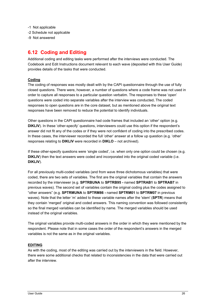- -1 Not applicable
- -2 Schedule not applicable
- -9 Not answered

#### **6.12 Coding and Editing**

Additional coding and editing tasks were performed after the interviews were conducted. The Codebook and Edit Instructions document relevant to each wave (deposited with this User Guide) provides details of the tasks that were conducted.

#### **Coding**

The coding of responses was mostly dealt with by the CAPI questionnaire through the use of fully closed questions. There were, however, a number of questions where a code frame was not used in order to capture all responses to a particular question verbatim. The responses to these 'open' questions were coded into separate variables after the interview was conducted**.** The coded responses to open questions are in the core dataset, but as mentioned above the original text responses have been removed to reduce the potential to identify individuals.

Other questions in the CAPI questionnaire had code frames that included an 'other' option (e.g. **DIKLIV**). In these 'other-specify' questions, interviewers could use this option if the respondent's answer did not fit any of the codes or if they were not confident of coding into the prescribed codes. In these cases, the interviewer recorded the full 'other' answer at a follow up question (e.g. 'other' responses relating to **DIKLIV** were recorded in **DIKLO** – not archived).

If these other-specify questions were 'single coded', i.e. when only one option could be chosen (e.g. **DIKLIV**) then the text answers were coded and incorporated into the original coded variable (i.e. **DIKLIV**).

For all previously multi-coded variables (and from wave three dichotomous variables) that were coded, there are two sets of variables. The first are the original variables that contain the answers recorded by the interviewer (e.g. **SPTRBUNA** to **SPTRB95 -** named **SPTRAB1** to **SPTRAB7** in previous waves). The second set of variables contain the original coding plus the codes assigned to "other answers" (e.g. **SPTRMUNA** to **SPTRM86 -** named **SPTRM01** to **SPTRM07** in previous waves). Note that the letter 'm' added to these variable names after the 'stem' (**SPTR**) means that they contain 'merged' original and coded answers. This naming convention was followed consistently so the final merged variables can be identified by name. The merged variables should be used instead of the original variables.

The original variables provide multi-coded answers in the order in which they were mentioned by the respondent. Please note that in some cases the order of the respondent's answers in the merged variables is not the same as in the original variables.

#### **EDITING**

As with the coding, most of the editing was carried out by the interviewers in the field. However, there were some additional checks that related to inconsistencies in the data that were carried out after the interview.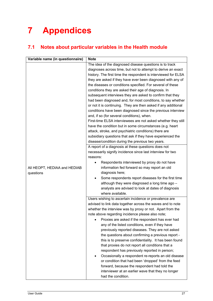# **7 Appendices**

# **7.1 Notes about particular variables in the Health module**

| Variable name (in questionnaire) | <b>Note</b>                                                            |
|----------------------------------|------------------------------------------------------------------------|
|                                  | The idea of the diagnosed disease questions is to track                |
|                                  | diagnoses across time, but not to attempt to derive an exact           |
|                                  | history. The first time the respondent is interviewed for ELSA         |
|                                  | they are asked if they have ever been diagnosed with any of            |
|                                  | the diseases or conditions specified. For several of these             |
|                                  | conditions they are asked their age of diagnosis. In                   |
|                                  | subsequent interviews they are asked to confirm that they              |
|                                  | had been diagnosed and, for most conditions, to say whether            |
|                                  | or not it is continuing. They are then asked if any additional         |
|                                  | conditions have been diagnosed since the previous interview            |
|                                  | and, if so (for several conditions), when.                             |
|                                  | First-time ELSA interviewees are not asked whether they still          |
|                                  | have the condition but in some circumstances (e.g. heart               |
|                                  | attack, stroke, and psychiatric conditions) there are                  |
|                                  | subsidiary questions that ask if they have experienced the             |
|                                  | disease/condition during the previous two years.                       |
|                                  | A report of a diagnosis at these questions does not                    |
|                                  | necessarily signify incidence since last interview for two             |
|                                  | reasons:                                                               |
|                                  | Respondents interviewed by proxy do not have<br>$\bullet$              |
| All HEOPT, HEDIAA and HEDIAB     | information fed forward so may report an old                           |
| questions                        | diagnosis here;                                                        |
|                                  | Some respondents report diseases for the first time                    |
|                                  | although they were diagnosed a long time ago -                         |
|                                  | analysts are advised to look at dates of diagnosis<br>where available. |
|                                  | Users wishing to ascertain incidence or prevalence are                 |
|                                  | advised to link data together across the waves and to note             |
|                                  | whether the interview was by proxy or not. Apart from the              |
|                                  | note above regarding incidence please also note;                       |
|                                  | Proxies are asked if the respondent has ever had                       |
|                                  | any of the listed conditions, even if they have                        |
|                                  | previously reported diseases. They are not asked                       |
|                                  | the questions about confirming a previous report -                     |
|                                  | this is to preserve confidentiality. It has been found                 |
|                                  | that proxies do not report all conditions that a                       |
|                                  | respondent has previously reported in person;                          |
|                                  | Occasionally a respondent re-reports an old disease                    |
|                                  | or condition that had been 'dropped' from the feed                     |
|                                  | forward, because the respondent had told the                           |
|                                  | interviewer at an earlier wave that they no longer                     |
|                                  | had the condition.                                                     |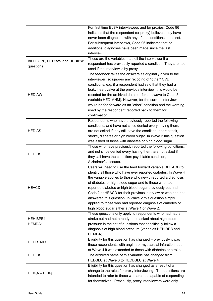|                              | For first time ELSA interviewees and for proxies, Code 96         |
|------------------------------|-------------------------------------------------------------------|
|                              | indicates that the respondent (or proxy) believes they have       |
|                              | never been diagnosed with any of the conditions in the set.       |
|                              | For subsequent interviews, Code 96 indicates that no              |
|                              | additional diagnoses have been made since the last                |
|                              | interview.                                                        |
|                              | These are the variables that tell the interviewer if a            |
| All HEOPF, HEDIAW and HEDIBW | respondent has previously reported a condition. They are not      |
| questions                    | used if the interview is by proxy.                                |
|                              | The feedback takes the answers as originally given to the         |
|                              | interviewer, so ignores any recoding of "other" CVD               |
|                              | conditions, e.g. if a respondent had said that they had a         |
|                              | leaky heart valve at the previous interview, this would be        |
| <b>HEDIAW</b>                | recoded for the archived data set for that wave to Code 5         |
|                              | (variable HEDIMHM). However, for the current interview it         |
|                              | would be fed forward as an "other" condition and the wording      |
|                              |                                                                   |
|                              | used by the respondent reported back to them for<br>confirmation. |
|                              |                                                                   |
|                              | Respondents who have previously reported the following            |
|                              | conditions, and have not since denied every having them,          |
| <b>HEDIAS</b>                | are not asked if they still have the condition: heart attack,     |
|                              | stroke, diabetes or high blood sugar. In Wave 2 this question     |
|                              | was asked of those with diabetes or high blood sugar.             |
|                              | Those who have previously reported the following conditions,      |
| <b>HEDIDS</b>                | and not since denied every having them, are not asked if          |
|                              | they still have the condition: psychiatric condition,             |
|                              | Alzheimer's disease.                                              |
|                              | Users will need to use the feed forward variable DHEACD to        |
|                              | identify all those who have ever reported diabetes. In Wave 4     |
|                              | the variable applies to those who newly reported a diagnosis      |
|                              | of diabetes or high blood sugar and to those who had              |
| <b>HEACD</b>                 | reported diabetes or high blood sugar previously but had          |
|                              | Code 2 at HEACD for their previous interview or who had not       |
|                              | answered this question. In Wave 2 this question simply            |
|                              | applied to those who had reported diagnosis of diabetes or        |
|                              | high blood sugar either at Wave 1 or Wave 2.                      |
|                              | These questions only apply to respondents who had had a           |
| HEHIBPB1,                    | stroke but had not already been asked about high blood            |
| <b>HEMDA1</b>                | pressure in the set of questions that specifically follow a       |
|                              | diagnosis of high blood pressure (variables HEHIBPB and           |
|                              | HEMDA).                                                           |
|                              | Eligibility for this question has changed - previously it was     |
| <b>HEHRTMD</b>               | those respondents with angina or myocardial infarction, but       |
|                              | at Wave 4 it was extended to those with diabetes or stroke.       |
| <b>HEDIDS</b>                | The archived name of this variable has changed from               |
|                              | HEDBLU at Wave 3 to HEDBSLU at Wave 4.                            |
|                              | Eligibility for this question has changed as a result of a        |
|                              | change to the rules for proxy interviewing. The questions are     |
| HEIQA - HEIQQ                | intended to refer to those who are not capable of responding      |
|                              |                                                                   |
|                              | for themselves. Previously, proxy interviewers were only          |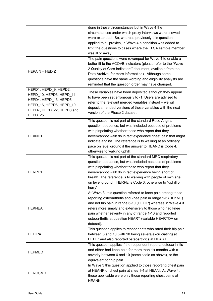|                                                                                                                                                 | done in these circumstances but in Wave 4 the<br>circumstances under which proxy interviews were allowed<br>were extended. So, whereas previously this question<br>applied to all proxies, in Wave 4 a condition was added to<br>limit the questions to cases where the ELSA sample member<br>was ill or away.<br>The pain questions were revamped for Wave 4 to enable a                         |
|-------------------------------------------------------------------------------------------------------------------------------------------------|---------------------------------------------------------------------------------------------------------------------------------------------------------------------------------------------------------------------------------------------------------------------------------------------------------------------------------------------------------------------------------------------------|
| <b>HEPAIN - HEDIZ</b>                                                                                                                           | better fit to the ACOVE indicators (please refer to the "Wave<br>2 Quality of Care Indicators" document, available from the<br>Data Archive, for more information). Although some<br>questions have the same wording and eligibility analysts are<br>reminded that the question order may have changed.                                                                                           |
| HEPD1, HEPD 9, HEPD2,<br>HEPD_10, HEPD3, HEPD_11,<br>HEPD4, HEPD 13, HEPD5,<br>HEPD_16, HEPD6, HEPD_19,<br>HEPD7, HEPD 22, HEPD8 and<br>HEPD_25 | These variables have been deposited although they appear<br>to have been set erroneously to -1. Users are advised to<br>refer to the relevant merged variables instead - we will<br>deposit amended versions of these variables with the next<br>version of the Phase 2 dataset.                                                                                                                  |
| HEAND1                                                                                                                                          | This question is not part of the standard Rose Angina<br>question sequence, but was included because of problems<br>with pinpointing whether those who report that they<br>never/cannot walk do in fact experience chest pain that might<br>indicate angina. The reference is to walking at an ordinary<br>pace on level ground if the answer to HEANC is Code 4,<br>otherwise to walking uphill. |
| HERPE1                                                                                                                                          | This question is not part of the standard MRC respiratory<br>question sequence, but was included because of problems<br>with pinpointing whether those who report that they<br>never/cannot walk do in fact experience being short of<br>breath. The reference is to walking with people of own age<br>on level ground if HERPE is Code 3, otherwise to "uphill or<br>hurry".                     |
| <b>HEKNEA</b>                                                                                                                                   | At Wave 3, this question referred to knee pain among those<br>reporting osteoarthritis and knee pain in range 1-5 (HEKNE)<br>and not hip pain in range 6-10 (HEHIP) whereas in Wave 4 it<br>refers more simply and extensively to those who had knee<br>pain whether severity in any of range 1-10 and reported<br>osteoarthritis at question HEART (variable HEARTOA on<br>dataset).             |
| <b>HEHIPA</b>                                                                                                                                   | This question applies to respondents who rated their hip pain<br>between 6 and 10 (with 10 being severe/excruciating) at<br>HEHIP and also reported osteoarthritis at HEART.                                                                                                                                                                                                                      |
| <b>HEPMED</b>                                                                                                                                   | This question applies if the respondent reports osteoarthritis<br>and either had knee pain for more than six months with a<br>severity between 6 and 10 (same scale as above), or the<br>equivalent for hip pain.                                                                                                                                                                                 |
| <b>HEROSMD</b>                                                                                                                                  | In Wave 3 this question applied to those reporting chest pain<br>at HEANK or chest pain at sites 1-4 at HEANI. At Wave 4,<br>those applicable were only those reporting chest pains at<br>HEANK.                                                                                                                                                                                                  |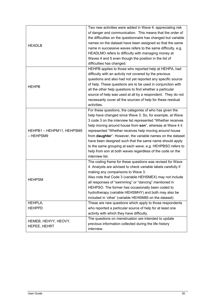| <b>HEADLB</b>                        | Two new activities were added in Wave 4: appreciating risk<br>of danger and communication. This means that the order of<br>the difficulties on the questionnaire has changed but variable<br>names on the dataset have been assigned so that the same<br>name in successive waves refers to the same difficulty, e.g.<br>HEADLMO refers to difficulty with managing money at<br>Waves 4 and 5 even though the position in the list of<br>difficulties has changed.                                                                                                               |
|--------------------------------------|----------------------------------------------------------------------------------------------------------------------------------------------------------------------------------------------------------------------------------------------------------------------------------------------------------------------------------------------------------------------------------------------------------------------------------------------------------------------------------------------------------------------------------------------------------------------------------|
| <b>HEHPB</b>                         | HEHPB applies to those who reported help at HEHPA, had<br>difficulty with an activity not covered by the previous<br>questions and also had not yet reported any specific source<br>of help. These questions are to be used in conjunction with<br>all the other help questions to find whether a particular<br>source of help was used at all by a respondent. They do not<br>necessarily cover all the sources of help for these residual<br>activities.                                                                                                                       |
| HEHPB1-HEHPM11, HEHPSM5<br>– HEHPSM9 | For these questions, the categories of who has given the<br>help have changed since Wave 3. So, for example, at Wave<br>3 code 3 on the interview list represented "Whether receives<br>help moving around house from son", whereas at Wave 4 it<br>represented "Whether receives help moving around house<br>from daughter". However, the variable names on the dataset<br>have been designed such that the same name should apply<br>to the same grouping at each wave, e.g. HEHPBSO refers to<br>help from son at both waves regardless of the code on the<br>interview list. |
| <b>HEHPSM</b>                        | The coding frame for these questions was revised for Wave<br>4. Analysts are advised to check variable labels carefully if<br>making any comparisons to Wave 3.<br>Also note that Code 3 (variable HEHSMEX) may not include<br>all responses of "swimming" or "dancing" mentioned in<br>HEHPSO. The former has occasionally been coded to<br>hydrotherapy (variable HEHSMHY) and both may also be<br>included in 'other' (variable HEHSM85 on the dataset)                                                                                                                       |
| HEHPLA,<br><b>HEHPPD</b>             | These are new questions which apply to those respondents<br>who reported a particular source of help for at least one<br>activity with which they have difficulty.                                                                                                                                                                                                                                                                                                                                                                                                               |
| HEMEB, HEHYY, HEOVY,<br>HEPEE, HEHRT | The questions on menstruation are intended to update<br>previous information collected during the life history<br>interview.                                                                                                                                                                                                                                                                                                                                                                                                                                                     |